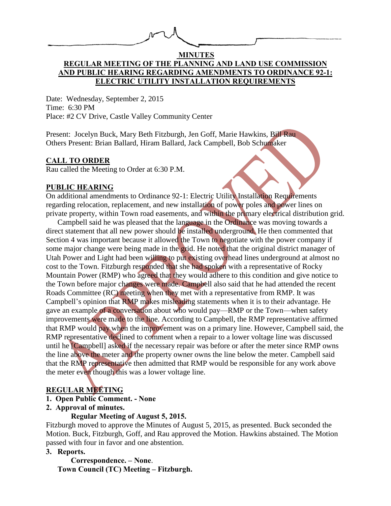| $\mathcal{N}$<br>$\int \sqrt{1-x^2}$ |  |
|--------------------------------------|--|
|                                      |  |

## **MINUTES REGULAR MEETING OF THE PLANNING AND LAND USE COMMISSION AND PUBLIC HEARING REGARDING AMENDMENTS TO ORDINANCE 92-1: ELECTRIC UTILITY INSTALLATION REQUIREMENTS**

Date: Wednesday, September 2, 2015 Time: 6:30 PM Place: #2 CV Drive, Castle Valley Community Center

Present: Jocelyn Buck, Mary Beth Fitzburgh, Jen Goff, Marie Hawkins, Bill Rau Others Present: Brian Ballard, Hiram Ballard, Jack Campbell, Bob Schumaker

## **CALL TO ORDER**

Rau called the Meeting to Order at 6:30 P.M.

## **PUBLIC HEARING**

On additional amendments to Ordinance 92-1: Electric Utility Installation Requirements regarding relocation, replacement, and new installation of power poles and power lines on private property, within Town road easements, and within the primary electrical distribution grid.

Campbell said he was pleased that the language in the Ordinance was moving towards a direct statement that all new power should be installed underground. He then commented that Section 4 was important because it allowed the Town to negotiate with the power company if some major change were being made in the grid. He noted that the original district manager of Utah Power and Light had been willing to put existing overhead lines underground at almost no cost to the Town. Fitzburgh responded that she had spoken with a representative of Rocky Mountain Power (RMP) who agreed that they would adhere to this condition and give notice to the Town before major changes were made. Campbell also said that he had attended the recent Roads Committee (RC) meeting when they met with a representative from RMP. It was Campbell's opinion that RMP makes misleading statements when it is to their advantage. He gave an example of a conversation about who would pay—RMP or the Town—when safety improvements were made to the line. According to Campbell, the RMP representative affirmed that RMP would pay when the improvement was on a primary line. However, Campbell said, the RMP representative declined to comment when a repair to a lower voltage line was discussed until he [Campbell] asked if the necessary repair was before or after the meter since RMP owns the line above the meter and the property owner owns the line below the meter. Campbell said that the RMP representative then admitted that RMP would be responsible for any work above the meter even though this was a lower voltage line.

# **REGULAR MEETING**

- **1. Open Public Comment. - None**
- **2. Approval of minutes.**

# **Regular Meeting of August 5, 2015.**

Fitzburgh moved to approve the Minutes of August 5, 2015, as presented. Buck seconded the Motion. Buck, Fitzburgh, Goff, and Rau approved the Motion. Hawkins abstained. The Motion passed with four in favor and one abstention.

# **3. Reports.**

 **Correspondence. – None**. **Town Council (TC) Meeting – Fitzburgh.**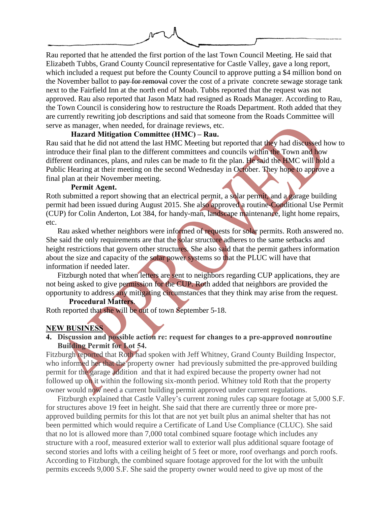

Rau reported that he attended the first portion of the last Town Council Meeting. He said that Elizabeth Tubbs, Grand County Council representative for Castle Valley, gave a long report, which included a request put before the County Council to approve putting a \$4 million bond on the November ballot to pay for removal cover the cost of a private concrete sewage storage tank next to the Fairfield Inn at the north end of Moab. Tubbs reported that the request was not approved. Rau also reported that Jason Matz had resigned as Roads Manager. According to Rau, the Town Council is considering how to restructure the Roads Department. Roth added that they are currently rewriting job descriptions and said that someone from the Roads Committee will serve as manager, when needed, for drainage reviews, etc.

#### **Hazard Mitigation Committee (HMC) – Rau.**

Rau said that he did not attend the last HMC Meeting but reported that they had discussed how to introduce their final plan to the different committees and councils within the Town and how different ordinances, plans, and rules can be made to fit the plan. He said the HMC will hold a Public Hearing at their meeting on the second Wednesday in October. They hope to approve a final plan at their November meeting.

#### **Permit Agent.**

Roth submitted a report showing that an electrical permit, a solar permit, and a garage building permit had been issued during August 2015. She also approved a routine-Conditional Use Permit (CUP) for Colin Anderton, Lot 384, for handy-man, landscape maintenance, light home repairs, etc.

Rau asked whether neighbors were informed of requests for solar permits. Roth answered no. She said the only requirements are that the solar structure adheres to the same setbacks and height restrictions that govern other structures. She also said that the permit gathers information about the size and capacity of the solar power systems so that the PLUC will have that information if needed later.

Fitzburgh noted that when letters are sent to neighbors regarding CUP applications, they are not being asked to give permission for the CUP. Roth added that neighbors are provided the opportunity to address any mitigating circumstances that they think may arise from the request.

#### **Procedural Matters**.

Roth reported that she will be out of town September 5-18.

#### **NEW BUSINESS**

## **4. Discussion and possible action re: request for changes to a pre-approved nonroutine Building Permit for Lot 54.**

Fitzburgh reported that Roth had spoken with Jeff Whitney, Grand County Building Inspector, who informed her that the property owner had previously submitted the pre-approved building permit for the garage addition and that it had expired because the property owner had not followed up on it within the following six-month period. Whitney told Roth that the property owner would now need a current building permit approved under current regulations.

Fitzburgh explained that Castle Valley's current zoning rules cap square footage at 5,000 S.F. for structures above 19 feet in height. She said that there are currently three or more preapproved building permits for this lot that are not yet built plus an animal shelter that has not been permitted which would require a Certificate of Land Use Compliance (CLUC). She said that no lot is allowed more than 7,000 total combined square footage which includes any structure with a roof, measured exterior wall to exterior wall plus additional square footage of second stories and lofts with a ceiling height of 5 feet or more, roof overhangs and porch roofs. According to Fitzburgh, the combined square footage approved for the lot with the unbuilt permits exceeds 9,000 S.F. She said the property owner would need to give up most of the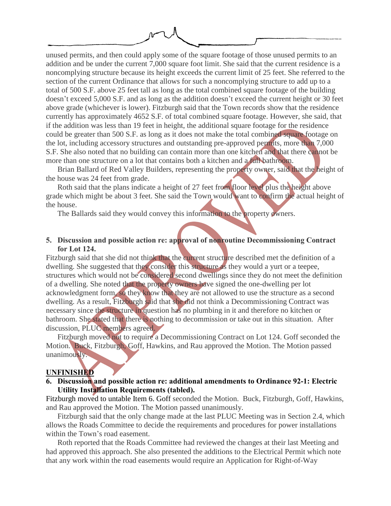unused permits, and then could apply some of the square footage of those unused permits to an addition and be under the current 7,000 square foot limit. She said that the current residence is a noncomplying structure because its height exceeds the current limit of 25 feet. She referred to the section of the current Ordinance that allows for such a noncomplying structure to add up to a total of 500 S.F. above 25 feet tall as long as the total combined square footage of the building doesn't exceed 5,000 S.F. and as long as the addition doesn't exceed the current height or 30 feet above grade (whichever is lower). Fitzburgh said that the Town records show that the residence currently has approximately 4652 S.F. of total combined square footage. However, she said, that if the addition was less than 19 feet in height, the additional square footage for the residence could be greater than 500 S.F. as long as it does not make the total combined square footage on the lot, including accessory structures and outstanding pre-approved permits, more than 7,000 S.F. She also noted that no building can contain more than one kitchen and that there cannot be more than one structure on a lot that contains both a kitchen and a full bathroom.

Brian Ballard of Red Valley Builders, representing the property owner, said that the height of the house was 24 feet from grade.

Roth said that the plans indicate a height of 27 feet from floor level plus the height above grade which might be about 3 feet. She said the Town would want to confirm the actual height of the house.

The Ballards said they would convey this information to the property owners.

## **5. Discussion and possible action re: approval of nonroutine Decommissioning Contract for Lot 124.**

Fitzburgh said that she did not think that the current structure described met the definition of a dwelling. She suggested that they consider this structure as they would a yurt or a teepee, structures which would not be considered second dwellings since they do not meet the definition of a dwelling. She noted that the property owners have signed the one-dwelling per lot acknowledgment form, so they know that they are not allowed to use the structure as a second dwelling. As a result, Fitzburgh said that she did not think a Decommissioning Contract was necessary since the structure in question has no plumbing in it and therefore no kitchen or bathroom. She stated that there is nothing to decommission or take out in this situation. After discussion, PLUC members agreed.

Fitzburgh moved not to require a Decommissioning Contract on Lot 124. Goff seconded the Motion. Buck, Fitzburgh, Goff, Hawkins, and Rau approved the Motion. The Motion passed unanimously.

#### **UNFINISHED**

#### **6. Discussion and possible action re: additional amendments to Ordinance 92-1: Electric Utility Installation Requirements (tabled).**

Fitzburgh moved to untable Item 6. Goff seconded the Motion. Buck, Fitzburgh, Goff, Hawkins, and Rau approved the Motion. The Motion passed unanimously.

Fitzburgh said that the only change made at the last PLUC Meeting was in Section 2.4, which allows the Roads Committee to decide the requirements and procedures for power installations within the Town's road easement.

Roth reported that the Roads Committee had reviewed the changes at their last Meeting and had approved this approach. She also presented the additions to the Electrical Permit which note that any work within the road easements would require an Application for Right-of-Way